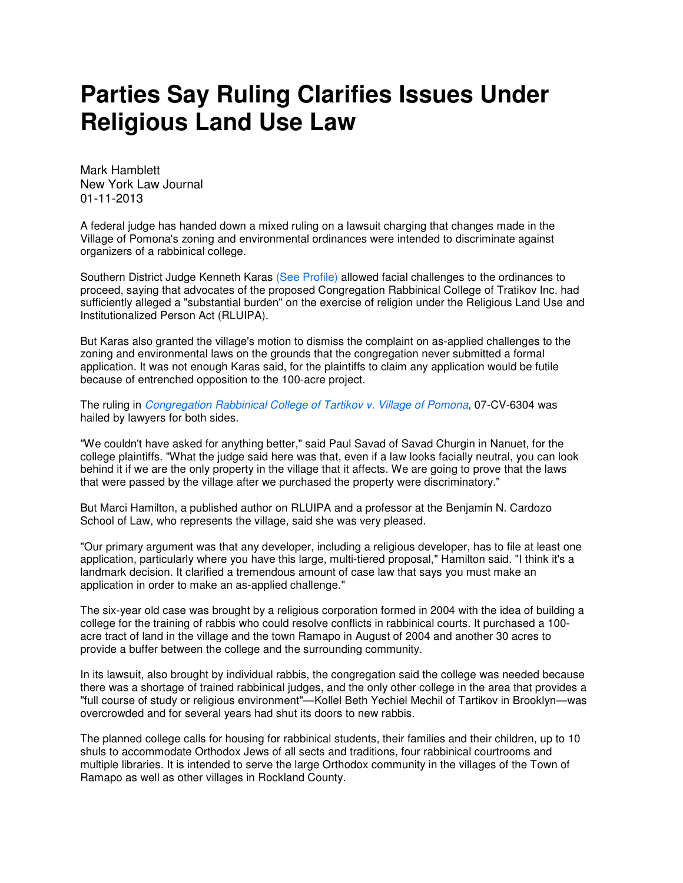## **Parties Say Ruling Clarifies Issues Under Religious Land Use Law**

Mark Hamblett New York Law Journal 01-11-2013

A federal judge has handed down a mixed ruling on a lawsuit charging that changes made in the Village of Pomona's zoning and environmental ordinances were intended to discriminate against organizers of a rabbinical college.

Southern District Judge Kenneth Karas (See Profile) allowed facial challenges to the ordinances to proceed, saying that advocates of the proposed Congregation Rabbinical College of Tratikov Inc. had sufficiently alleged a "substantial burden" on the exercise of religion under the Religious Land Use and Institutionalized Person Act (RLUIPA).

But Karas also granted the village's motion to dismiss the complaint on as-applied challenges to the zoning and environmental laws on the grounds that the congregation never submitted a formal application. It was not enough Karas said, for the plaintiffs to claim any application would be futile because of entrenched opposition to the 100-acre project.

The ruling in Congregation Rabbinical College of Tartikov v. Village of Pomona, 07-CV-6304 was hailed by lawyers for both sides.

"We couldn't have asked for anything better," said Paul Savad of Savad Churgin in Nanuet, for the college plaintiffs. "What the judge said here was that, even if a law looks facially neutral, you can look behind it if we are the only property in the village that it affects. We are going to prove that the laws that were passed by the village after we purchased the property were discriminatory."

But Marci Hamilton, a published author on RLUIPA and a professor at the Benjamin N. Cardozo School of Law, who represents the village, said she was very pleased.

"Our primary argument was that any developer, including a religious developer, has to file at least one application, particularly where you have this large, multi-tiered proposal," Hamilton said. "I think it's a landmark decision. It clarified a tremendous amount of case law that says you must make an application in order to make an as-applied challenge."

The six-year old case was brought by a religious corporation formed in 2004 with the idea of building a college for the training of rabbis who could resolve conflicts in rabbinical courts. It purchased a 100 acre tract of land in the village and the town Ramapo in August of 2004 and another 30 acres to provide a buffer between the college and the surrounding community.

In its lawsuit, also brought by individual rabbis, the congregation said the college was needed because there was a shortage of trained rabbinical judges, and the only other college in the area that provides a "full course of study or religious environment"—Kollel Beth Yechiel Mechil of Tartikov in Brooklyn—was overcrowded and for several years had shut its doors to new rabbis.

The planned college calls for housing for rabbinical students, their families and their children, up to 10 shuls to accommodate Orthodox Jews of all sects and traditions, four rabbinical courtrooms and multiple libraries. It is intended to serve the large Orthodox community in the villages of the Town of Ramapo as well as other villages in Rockland County.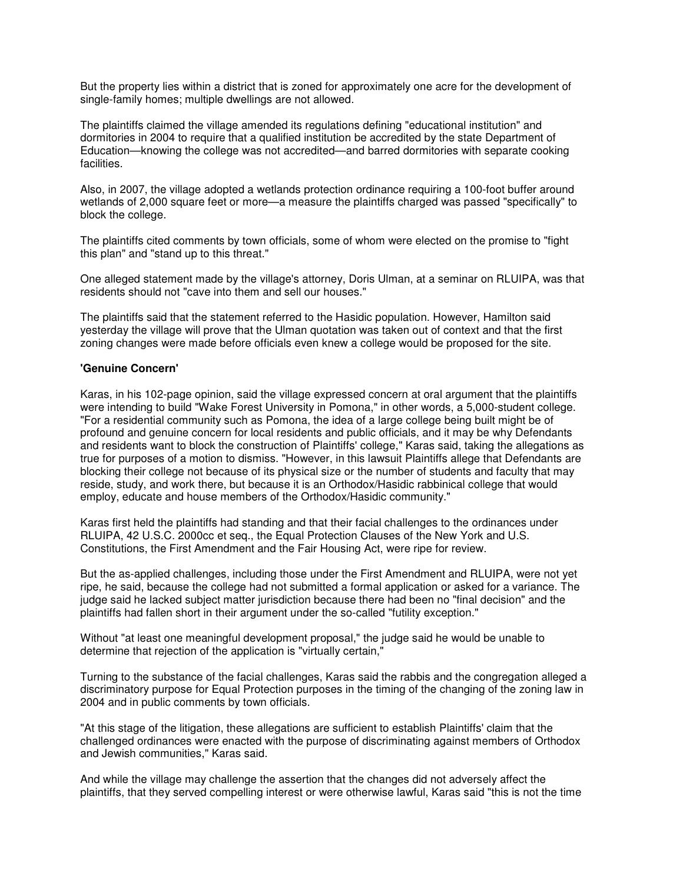But the property lies within a district that is zoned for approximately one acre for the development of single-family homes; multiple dwellings are not allowed.

The plaintiffs claimed the village amended its regulations defining "educational institution" and dormitories in 2004 to require that a qualified institution be accredited by the state Department of Education—knowing the college was not accredited—and barred dormitories with separate cooking facilities.

Also, in 2007, the village adopted a wetlands protection ordinance requiring a 100-foot buffer around wetlands of 2,000 square feet or more—a measure the plaintiffs charged was passed "specifically" to block the college.

The plaintiffs cited comments by town officials, some of whom were elected on the promise to "fight this plan" and "stand up to this threat."

One alleged statement made by the village's attorney, Doris Ulman, at a seminar on RLUIPA, was that residents should not "cave into them and sell our houses."

The plaintiffs said that the statement referred to the Hasidic population. However, Hamilton said yesterday the village will prove that the Ulman quotation was taken out of context and that the first zoning changes were made before officials even knew a college would be proposed for the site.

## **'Genuine Concern'**

Karas, in his 102-page opinion, said the village expressed concern at oral argument that the plaintiffs were intending to build "Wake Forest University in Pomona," in other words, a 5,000-student college. "For a residential community such as Pomona, the idea of a large college being built might be of profound and genuine concern for local residents and public officials, and it may be why Defendants and residents want to block the construction of Plaintiffs' college," Karas said, taking the allegations as true for purposes of a motion to dismiss. "However, in this lawsuit Plaintiffs allege that Defendants are blocking their college not because of its physical size or the number of students and faculty that may reside, study, and work there, but because it is an Orthodox/Hasidic rabbinical college that would employ, educate and house members of the Orthodox/Hasidic community."

Karas first held the plaintiffs had standing and that their facial challenges to the ordinances under RLUIPA, 42 U.S.C. 2000cc et seq., the Equal Protection Clauses of the New York and U.S. Constitutions, the First Amendment and the Fair Housing Act, were ripe for review.

But the as-applied challenges, including those under the First Amendment and RLUIPA, were not yet ripe, he said, because the college had not submitted a formal application or asked for a variance. The judge said he lacked subject matter jurisdiction because there had been no "final decision" and the plaintiffs had fallen short in their argument under the so-called "futility exception."

Without "at least one meaningful development proposal," the judge said he would be unable to determine that rejection of the application is "virtually certain,"

Turning to the substance of the facial challenges, Karas said the rabbis and the congregation alleged a discriminatory purpose for Equal Protection purposes in the timing of the changing of the zoning law in 2004 and in public comments by town officials.

"At this stage of the litigation, these allegations are sufficient to establish Plaintiffs' claim that the challenged ordinances were enacted with the purpose of discriminating against members of Orthodox and Jewish communities," Karas said.

And while the village may challenge the assertion that the changes did not adversely affect the plaintiffs, that they served compelling interest or were otherwise lawful, Karas said "this is not the time